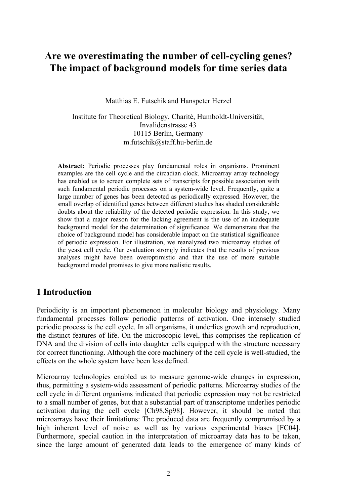# **Are we overestimating the number of cell-cycling genes? The impact of background models for time series data**

Matthias E. Futschik and Hanspeter Herzel

Institute for Theoretical Biology, Charité, Humboldt-Universität, Invalidenstrasse 43 10115 Berlin, Germany m.futschik@staff.hu-berlin.de

**Abstract:** Periodic processes play fundamental roles in organisms. Prominent examples are the cell cycle and the circadian clock. Microarray array technology has enabled us to screen complete sets of transcripts for possible association with such fundamental periodic processes on a system-wide level. Frequently, quite a large number of genes has been detected as periodically expressed. However, the small overlap of identified genes between different studies has shaded considerable doubts about the reliability of the detected periodic expression. In this study, we show that a major reason for the lacking agreement is the use of an inadequate background model for the determination of significance. We demonstrate that the choice of background model has considerable impact on the statistical significance of periodic expression. For illustration, we reanalyzed two microarray studies of the yeast cell cycle. Our evaluation strongly indicates that the results of previous analyses might have been overoptimistic and that the use of more suitable background model promises to give more realistic results.

# **1 Introduction**

Periodicity is an important phenomenon in molecular biology and physiology. Many fundamental processes follow periodic patterns of activation. One intensely studied periodic process is the cell cycle. In all organisms, it underlies growth and reproduction, the distinct features of life. On the microscopic level, this comprises the replication of DNA and the division of cells into daughter cells equipped with the structure necessary for correct functioning. Although the core machinery of the cell cycle is well-studied, the effects on the whole system have been less defined.

Microarray technologies enabled us to measure genome-wide changes in expression, thus, permitting a system-wide assessment of periodic patterns. Microarray studies of the cell cycle in different organisms indicated that periodic expression may not be restricted to a small number of genes, but that a substantial part of transcriptome underlies periodic activation during the cell cycle [Ch98,Sp98]. However, it should be noted that microarrays have their limitations: The produced data are frequently compromised by a high inherent level of noise as well as by various experimental biases [FC04]. Furthermore, special caution in the interpretation of microarray data has to be taken, since the large amount of generated data leads to the emergence of many kinds of 2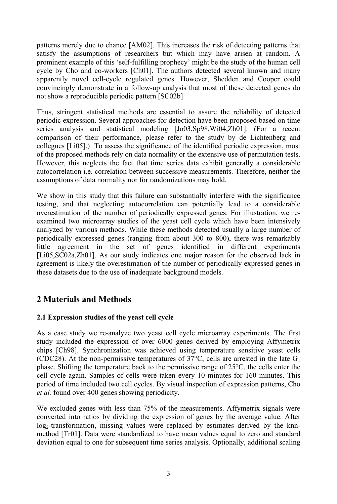patterns merely due to chance [AM02]. This increases the risk of detecting patterns that satisfy the assumptions of researchers but which may have arisen at random. A prominent example of this 'self-fulfilling prophecy' might be the study of the human cell cycle by Cho and co-workers [Ch01]. The authors detected several known and many apparently novel cell-cycle regulated genes. However, Shedden and Cooper could convincingly demonstrate in a follow-up analysis that most of these detected genes do not show a reproducible periodic pattern [SC02b]

Thus, stringent statistical methods are essential to assure the reliability of detected periodic expression. Several approaches for detection have been proposed based on time series analysis and statistical modeling [Jo03,Sp98,Wi04,Zh01]. (For a recent comparison of their performance, please refer to the study by de Lichtenberg and collegues [Li05].) To assess the significance of the identified periodic expression, most of the proposed methods rely on data normality or the extensive use of permutation tests. However, this neglects the fact that time series data exhibit generally a considerable autocorrelation i.e. correlation between successive measurements. Therefore, neither the assumptions of data normality nor for randomizations may hold.

We show in this study that this failure can substantially interfere with the significance testing, and that neglecting autocorrelation can potentially lead to a considerable overestimation of the number of periodically expressed genes. For illustration, we reexamined two microarray studies of the yeast cell cycle which have been intensively analyzed by various methods. While these methods detected usually a large number of periodically expressed genes (ranging from about 300 to 800), there was remarkably little agreement in the set of genes identified in different experiments [Li05,SC02a,Zh01]. As our study indicates one major reason for the observed lack in agreement is likely the overestimation of the number of periodically expressed genes in these datasets due to the use of inadequate background models.

# **2 Materials and Methods**

### **2.1 Expression studies of the yeast cell cycle**

As a case study we re-analyze two yeast cell cycle microarray experiments. The first study included the expression of over 6000 genes derived by employing Affymetrix chips [Ch98]. Synchronization was achieved using temperature sensitive yeast cells (CDC28). At the non-permissive temperatures of 37 $^{\circ}$ C, cells are arrested in the late G<sub>1</sub> phase. Shifting the temperature back to the permissive range of 25°C, the cells enter the cell cycle again. Samples of cells were taken every 10 minutes for 160 minutes. This period of time included two cell cycles. By vis cell cycle again. Samples of cells were taken every 10 minutes for 160 minutes. This period of time included two cell cycles. By visual inspection of expression patterns, Cho

We excluded genes with less than 75% of the measurements. Affymetrix signals were converted into ratios by dividing the expression of genes by the average value. After log<sub>2</sub>-transformation, missing values were replaced by estimates derived by the knnmethod [Tr01]. Data were standardized to have mean values equal to zero and standard deviation equal to one for subsequent time series analysis. Optionally, additional scaling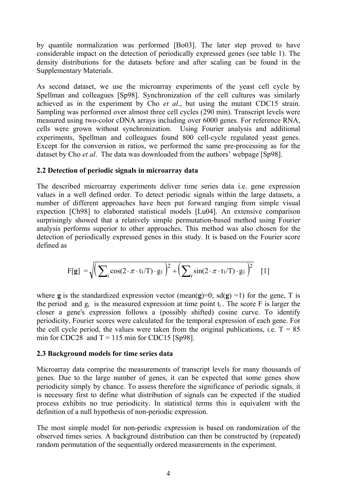by quantile normalization was performed [Bo03]. The later step proved to have considerable impact on the detection of periodically expressed genes (see table 1). The density distributions for the datasets before and after scaling can be found in the Supplementary Materials.

As second dataset, we use the microarray experiments of the yeast cell cycle by Spellman and colleagues [Sp98]. Synchronization of the cell cultures was similarly achieved as in the experiment by Cho *et al.*, but using the mutant CDC15 strain. As second dataset, we use the microarray experiments of the yeast cell cycle by Spellman and colleagues [Sp98]. Synchronization of the cell cultures was similarly achieved as in the experiment by Cho *et al.*, but using th Sampling was performed over almost three cell cycles (290 min). Transcript levels were measured using two-color cDNA arrays including over 6000 genes. For reference RNA, cells were grown without synchronization. Using Fourier analysis and additional experiments, Spellman and colleagues found 800 cell-cycle regulated yeast genes. Except for the conversion in ratios, we performed the same pre-processing as for the dataset by Cho *et al.* The data was downloaded from the authors' webpage [Sp98]. cells were grown without synchronization. Using Fourier analysis and addexperiments, Spellman and colleagues found 800 cell-cycle regulated yeast Except for the conversion in ratios, we performed the same pre-processing as

#### **2.2 Detection of periodic signals in microarray data**

The described microarray experiments deliver time series data i.e. gene expression values in a well defined order. To detect periodic signals within the large datasets, a number of different approaches have been put forward ranging from simple visual expection [Ch98] to elaborated statistical models [Lu04]. An extensive comparison surprisingly showed that a relatively simple permutation-based method using Fourier analysis performs superior to other approaches. This method was also chosen for the detection of periodically expressed genes in this study. It is based on the Fourier score defined as

$$
F[g] = \sqrt{\left(\sum_{i} cos(2 \cdot \pi \cdot ti/T) \cdot gi\right)^{2} + \left(\sum_{i} sin(2 \cdot \pi \cdot ti/T) \cdot gi\right)^{2}}
$$
[1]

where **g** is the standardized expression vector (mean(**g**)=0; sd(**g**) =1) for the gene, T is the period and  $g_i$  is the measured expression at time point  $t_i$ . The score F is larger the closer a gene's expression follows a (possibly shifted) cosine curve. To identify periodicity, Fourier scores were calculated for the temporal expression of each gene. For the cell cycle period, the values were taken from the original publications, i.e.  $T = 85$ min for CDC28 and  $T = 115$  min for CDC15 [Sp98].

#### **2.3 Background models for time series data**

Microarray data comprise the measurements of transcript levels for many thousands of genes. Due to the large number of genes, it can be expected that some genes show periodicity simply by chance. To assess therefore the significance of periodic signals, it is necessary first to define what distribution of signals can be expected if the studied process exhibits no true periodicity. In statistical terms this is equivalent with the definition of a null hypothesis of non-periodic expression.

The most simple model for non-periodic expression is based on randomization of the observed times series. A background distribution can then be constructed by (repeated) random permutation of the sequentially ordered measurements in the experiment. 4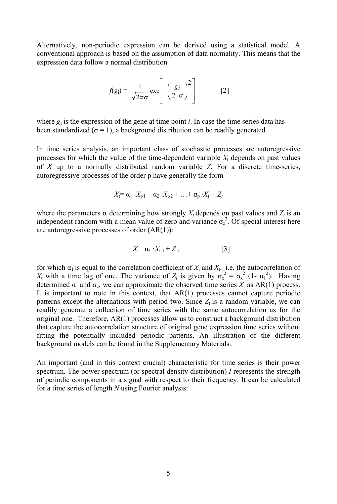Alternatively, non-periodic expression can be derived using a statistical model. A conventional approach is based on the assumption of data normality. This means that the expression data follow a normal distribution

a normal distribution  

$$
f(g_i) = \frac{1}{\sqrt{2\pi}\sigma} \exp\left[-\left(\frac{g_i}{2 \cdot \sigma}\right)^2\right]
$$
 [2]

where  $g_i$  is the expression of the gene at time point *i*. In case the time series data has been standardized ( $\sigma$  = 1), a background distribution can be readily generated.

In time series analysis, an important class of stochastic processes are autoregressive been standardized ( $\sigma = 1$ ), a background distribution can be readily generated.<br>In time series analysis, an important class of stochastic processes are autoregressive<br>processes for which the value of the time-dependent v In time series analysis, an important class of stochastic processes are autoregressive<br>processes for which the value of the time-dependent variable  $X_t$  depends on past values<br>of  $X$  up to a normally distributed random va autoregressive processes of the order p have generally the form of  $X$  up to a normally distributed random variable  $Z$ . For a discrete time-series, distributed random variable *Z*. For the order p have generally the form  $\tilde{f} = \alpha_1 \cdot X_{t-1} + \alpha_2 \cdot X_{t-2} + \ldots + \alpha_p \cdot X_t + Z_t$ 

$$
X_{t} = \alpha_{1} \cdot X_{t-1} + \alpha_{2} \cdot X_{t-2} + \ldots + \alpha_{p} \cdot X_{t} + Z_{t}
$$

 $X_t = \alpha_1 \cdot X_{t-1} + \alpha_2 \cdot X_{t-2} + \ldots + \alpha_p \cdot X_t + Z_t$ <br>where the parameters  $\alpha_i$  determining how strongly  $X_t$  depends on past values and  $Z_t$  is an independent random with a mean value of zero and variance  $\sigma_z^2$ . Of special interest here are autoregressive processes of order (AR(1)):<br>  $X_t = \alpha_1 \cdot X_{t-1} + Z_t$  [3] are autoregressive processes of order (AR(1)):

$$
X_{t} = \alpha_{1} \cdot X_{t-1} + Z_{t} \tag{3}
$$

for which  $\alpha_1$  is equal to the correlation coefficient of  $X_t$  and  $X_{t-1}$  i.e. the autocorrelation of the *α*<sub>1</sub> is equal to the correlation coefficient of  $X_t$  and  $X_{t-1}$  i.e. the autocorrelation of  $Y_t$  with a time lag of one. The variance of  $Z_t$  is given by  $\sigma_z^2 = \sigma_x^2 (1 - \alpha_1^2)$ . Having determined  $\alpha_1$  and  $\sigma_z$ , we can approximate the observed time series  $X_t$  as AR(1) process. to the correlation coefficient of  $X_t$  and  $X_{t-1}$  i.e. the autocorrelation of one. The variance of  $Z_t$  is given by  $\sigma_z^2 = \sigma_x^2 (1 - \alpha_1^2)$ . Having, we can approximate the observed time series  $X_t$  as AR(1) process. It is important to note in this context, that  $AR(1)$  processes cannot capture periodic  $X_t$  with a time lag of one. The variance of  $Z_t$  is given betermined  $\alpha_1$  and  $\sigma_z$ , we can approximate the observed tilt is important to note in this context, that AR(1) proce patterns except the alternations with per patterns except the alternations with period two. Since  $Z_t$  is a random variable, we can readily generate a collection of time series with the same autocorrelation as for the original one. Therefore, AR(1) processes allow us to construct a background distribution that capture the autocorrelation structure of original gene expression time series without fitting the potentially included periodic patterns. An illustration of the different background models can be found in the Supplementary Materials.

An important (and in this context crucial) characteristic for time series is their power background models can be found in the Supplementary Materials.<br>An important (and in this context crucial) characteristic for time series is their power<br>spectrum. The power spectrum (or spectral density distribution) *I* re of periodic components in a signal with respect to their frequency. It can be calculated An important (and in this context crucial) charace spectrum. The power spectrum (or spectral density of periodic components in a signal with respect to for a time series of length *N* using Fourier analysis: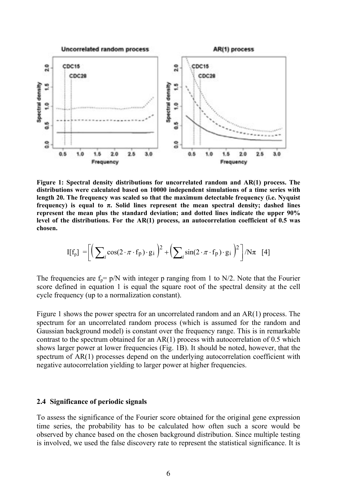

**Figure 1: Spectral density distributions for uncorrelated random and AR(1) process. The distributions were calculated based on 10000 independent simulations of a time series with length 20. The frequency was scaled so that the maximum detectable frequency (i.e. Nyquist frequency) is equal to π. Solid lines represent the mean spectral density; dashed lines represent the mean plus the standard deviation; and dotted lines indicate the upper 90% level of the distributions. For the AR(1) process, an autocorrelation coefficient of 0.5 was chosen.**

$$
I[f_p] = \left[ \left( \sum_i \cos(2 \cdot \pi \cdot f_p) \cdot g_i \right)^2 + \left( \sum_i \sin(2 \cdot \pi \cdot f_p) \cdot g_i \right)^2 \right] / N\pi \quad [4]
$$

The frequencies are  $f_p = p/N$  with integer p ranging from 1 to N/2. Note that the Fourier score defined in equation 1 is equal the square root of the spectral density at the cell cycle frequency (up to a normalization constant).

Figure 1 shows the power spectra for an uncorrelated random and an AR(1) process. The spectrum for an uncorrelated random process (which is assumed for the random and Gaussian background model) is constant over the frequency range. This is in remarkable contrast to the spectrum obtained for an  $AR(1)$  process with autocorrelation of 0.5 which shows larger power at lower frequencies (Fig. 1B). It should be noted, however, that the spectrum of AR(1) processes depend on the underlying autocorrelation coefficient with negative autocorrelation yielding to larger power at higher frequencies.

#### **2.4 Significance of periodic signals**

To assess the significance of the Fourier score obtained for the original gene expression time series, the probability has to be calculated how often such a score would be observed by chance based on the chosen background distribution. Since multiple testing is involved, we used the false discovery rate to represent the statistical significance. It is 6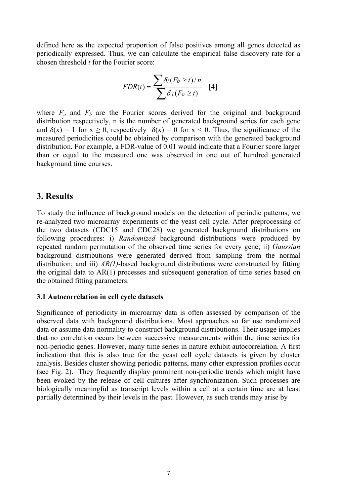defined here as the expected proportion of false positives among all genes detected as periodically expressed. Thus, we can calculate the empirical false discovery rate for a chosen threshold *t* for the Fourier score:<br>  $\sum \delta_i (F_b \ge t)/n$ defined here as the expected proportion<br>periodically expressed. Thus, we can c<br>chosen threshold *t* for the Fourier score: *chosen threshold t for the Fourier score:* 

$$
t = \frac{\sum \delta_i (F_b \ge t) / n}{\sum \delta_j (F_o \ge t)} \quad [4]
$$

where  $F<sub>o</sub>$  and  $F<sub>b</sub>$  are the Fourier scores derived for the original and background distribution respectively, n is the number of generated background series for each gene and  $\delta(x) = 1$  for  $x \ge 0$ , respectively  $\delta(x) = 0$  for  $x < 0$ . Thus, the significance of the measured periodicities could be obtained by comparison with the generated background distribution. For example, a FDR-value of 0.01 would indicate that a Fourier score larger than or equal to the measured one was observed in one out of hundred generated background time courses.

## **3. Results**

To study the influence of background models on the detection of periodic patterns, we re-analyzed two microarray experiments of the yeast cell cycle. After preprocessing of the two datasets (CDC15 and CDC28) we generated background distributions on To study the influence of background models on the detection of periodic patterns, we<br>re-analyzed two microarray experiments of the yeast cell cycle. After preprocessing of<br>the two datasets (CDC15 and CDC28) we generated b re-analyzed two microarray experiments of the yeast cell cycle. After preprocessing of the two datasets (CDC15 and CDC28) we generated background distributions on following procedures: i) *Randomized* background distributi background distributions were generated derived from sampling from the normal following procedures: i) *Randomized* background distributions were produced by repeated random permutation of the observed time series for every gene; ii) *Gaussian* background distributions were generated derived from sa the original data to AR(1) processes and subsequent generation of time series based on the obtained fitting parameters.

### **3.1 Autocorrelation in cell cycle datasets**

Significance of periodicity in microarray data is often assessed by comparison of the observed data with background distributions. Most approaches so far use randomized data or assume data normality to construct background distributions. Their usage implies that no correlation occurs between successive measurements within the time series for non-periodic genes. However, many time series in nature exhibit autocorrelation. A first indication that this is also true for the yeast cell cycle datasets is given by cluster analysis. Besides cluster showing periodic patterns, many other expression profiles occur (see Fig. 2). They frequently display prominent non-periodic trends which might have been evoked by the release of cell cultures after synchronization. Such processes are biologically meaningful as transcript levels within a cell at a certain time are at least partially determined by their levels in the past. However, as such trends may arise by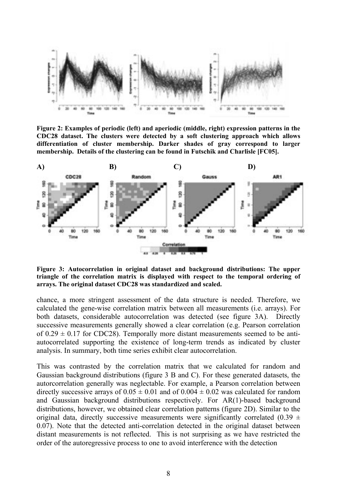

**Figure 2: Examples of periodic (left) and aperiodic (middle, right) expression patterns in the CDC28 dataset. The clusters were detected by a soft clustering approach which allows differentiation of cluster membership. Darker shades of gray correspond to larger membership. Details of the clustering can be found in Futschik and Charlisle [FC05].**



**Figure 3: Autocorrelation in original dataset and background distributions: The upper triangle of the correlation matrix is displayed with respect to the temporal ordering of arrays. The original dataset CDC28 was standardized and scaled.**

chance, a more stringent assessment of the data structure is needed. Therefore, we calculated the gene-wise correlation matrix between all measurements (i.e. arrays). For both datasets, considerable autocorrelation was detected (see figure 3A). Directly successive measurements generally showed a clear correlation (e.g. Pearson correlation of  $0.29 \pm 0.17$  for CDC28). Temporally more distant measurements seemed to be antiautocorrelated supporting the existence of long-term trends as indicated by cluster analysis. In summary, both time series exhibit clear autocorrelation.

This was contrasted by the correlation matrix that we calculated for random and Gaussian background distributions (figure 3 B and C). For these generated datasets, the autorcorrelation generally was neglectable. For example, a Pearson correlation between directly successive arrays of  $0.05 \pm 0.01$  and of  $0.004 \pm 0.02$  was calculated for random and Gaussian background distributions respectively. For AR(1)-based background distributions, however, we obtained clear correlation patterns (figure 2D). Similar to the original data, directly successive measurements were significantly correlated (0.39  $\pm$ 0.07). Note that the detected anti-correlation detected in the original dataset between distant measurements is not reflected. This is not surprising as we have restricted the order of the autoregressive process to one to avoid interference with the detection 8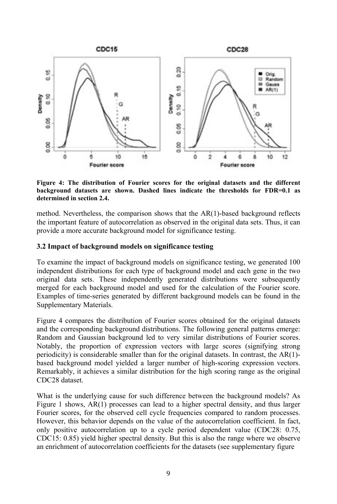

**Figure 4: The distribution of Fourier scores for the original datasets and the different background datasets are shown. Dashed lines indicate the thresholds for FDR=0.1 as determined in section 2.4.**

method. Nevertheless, the comparison shows that the AR(1)-based background reflects the important feature of autocorrelation as observed in the original data sets. Thus, it can provide a more accurate background model for significance testing.

### **3.2 Impact of background models on significance testing**

To examine the impact of background models on significance testing, we generated 100 independent distributions for each type of background model and each gene in the two original data sets. These independently generated distributions were subsequently merged for each background model and used for the calculation of the Fourier score. Examples of time-series generated by different background models can be found in the Supplementary Materials.

Figure 4 compares the distribution of Fourier scores obtained for the original datasets and the corresponding background distributions. The following general patterns emerge: Random and Gaussian background led to very similar distributions of Fourier scores. Notably, the proportion of expression vectors with large scores (signifying strong periodicity) is considerable smaller than for the original datasets. In contrast, the  $AR(1)$ based background model yielded a larger number of high-scoring expression vectors. Remarkably, it achieves a similar distribution for the high scoring range as the original CDC28 dataset.

What is the underlying cause for such difference between the background models? As Figure 1 shows, AR(1) processes can lead to a higher spectral density, and thus larger Fourier scores, for the observed cell cycle frequencies compared to random processes. However, this behavior depends on the value of the autocorrelation coefficient. In fact, only positive autocorrelation up to a cycle period dependent value (CDC28: 0.75, CDC15: 0.85) yield higher spectral density. But this is also the range where we observe an enrichment of autocorrelation coefficients for the datasets (see supplementary figure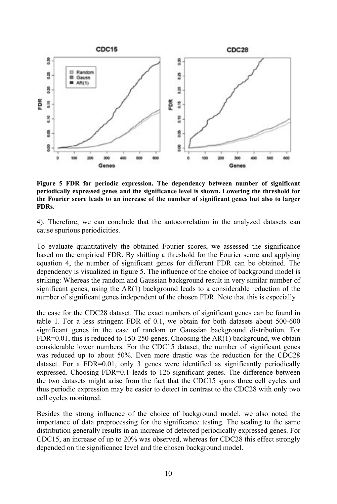

**Figure 5 FDR for periodic expression. The dependency between number of significant periodically expressed genes and the significance level is shown. Lowering the threshold for the Fourier score leads to an increase of the number of significant genes but also to larger FDRs.**

4). Therefore, we can conclude that the autocorrelation in the analyzed datasets can cause spurious periodicities.

To evaluate quantitatively the obtained Fourier scores, we assessed the significance based on the empirical FDR. By shifting a threshold for the Fourier score and applying equation 4, the number of significant genes for different FDR can be obtained. The dependency is visualized in figure 5. The influence of the choice of background model is striking: Whereas the random and Gaussian background result in very similar number of significant genes, using the AR(1) background leads to a considerable reduction of the number of significant genes independent of the chosen FDR. Note that this is especially

the case for the CDC28 dataset. The exact numbers of significant genes can be found in table 1. For a less stringent FDR of 0.1, we obtain for both datasets about 500-600 significant genes in the case of random or Gaussian background distribution. For FDR=0.01, this is reduced to 150-250 genes. Choosing the AR(1) background, we obtain considerable lower numbers. For the CDC15 dataset, the number of significant genes was reduced up to about 50%. Even more drastic was the reduction for the CDC28 dataset. For a FDR=0.01, only 3 genes were identified as significantly periodically expressed. Choosing FDR=0.1 leads to 126 significant genes. The difference between the two datasets might arise from the fact that the CDC15 spans three cell cycles and thus periodic expression may be easier to detect in contrast to the CDC28 with only two cell cycles monitored.

Besides the strong influence of the choice of background model, we also noted the importance of data preprocessing for the significance testing. The scaling to the same distribution generally results in an increase of detected periodically expressed genes. For CDC15, an increase of up to 20% was observed, whereas for CDC28 this effect strongly depended on the significance level and the chosen background model.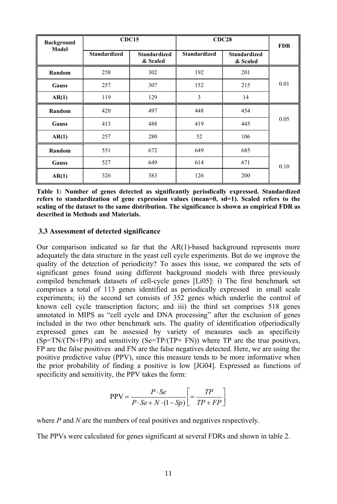| <b>Background</b><br>Model | <b>CDC15</b>        |                                 | <b>CDC28</b>        |                                 | <b>FDR</b> |
|----------------------------|---------------------|---------------------------------|---------------------|---------------------------------|------------|
|                            | <b>Standardized</b> | <b>Standardized</b><br>& Scaled | <b>Standardized</b> | <b>Standardized</b><br>& Scaled |            |
| Random                     | 258                 | 302                             | 192                 | 201                             |            |
| <b>Gauss</b>               | 257                 | 307                             | 152                 | 215                             | 0.01       |
| AR(1)                      | 119                 | 129                             | 3                   | 14                              |            |
| Random                     | 420                 | 497                             | 448                 | 454                             |            |
| <b>Gauss</b>               | 413                 | 488                             | 419                 | 445                             | 0.05       |
| AR(1)                      | 257                 | 280                             | 52                  | 106                             |            |
| Random                     | 551                 | 672                             | 649                 | 685                             |            |
| <b>Gauss</b>               | 527                 | 649                             | 614                 | 671                             | 0.10       |
| AR(1)                      | 326                 | 383                             | 126                 | 200                             |            |

**Table 1: Number of genes detected as significantly periodically expressed. Standardized refers to standardization of gene expression values (mean=0, sd=1). Scaled refers to the scaling of the dataset to the same distribution. The significance is shown as empirical FDR as described in Methods and Materials.**

#### **3.3 Assessment of detected significance**

Our comparison indicated so far that the AR(1)-based background represents more adequately the data structure in the yeast cell cycle experiments. But do we improve the quality of the detection of periodicity? To asses this issue, we compared the sets of significant genes found using different background models with three previously compiled benchmark datasets of cell-cycle genes [Li05]: i) The first benchmark set comprises a total of 113 genes identified as periodically expressed in small scale experiments; ii) the second set consists of 352 genes which underlie the control of known cell cycle transcription factors; and iii) the third set comprises 518 genes annotated in MIPS as "cell cycle and DNA processing" after the exclusion of genes included in the two other benchmark sets. The quality of identification ofperiodically expressed genes can be assessed by variety of measures such as specificity (Sp=TN/(TN+FP)) and sensitivity (Se=TP/(TP+ FN)) where TP are the true positives, FP are the false positives and FN are the false negatives detected. Here, we are using the positive predictive value (PPV), since this measure tends to be more informative when the prior probability of finding a positive is low [JG04]. Expressed as functions of specificity and sensitivity, the PPV takes the form:<br> $P \cdot Se \qquad [TP \qquad ]$ 

specificity and sensitivity, the PPV takes the form:  
\n
$$
PPV = \frac{P \cdot Se}{P \cdot Se + N \cdot (1 - Sp)} \left[ = \frac{TP}{TP + FP} \right]
$$

where *P* and *N* are the numbers of real positives and negatives respectively.

The PPVs were calculated for genes significant at several FDRs and shown in table 2.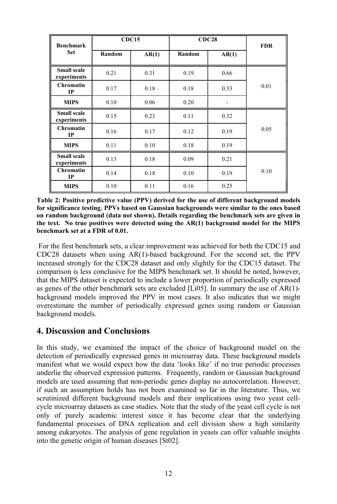| <b>Benchmark</b>                  | <b>CDC15</b> |       | <b>CDC28</b> |       | <b>FDR</b> |
|-----------------------------------|--------------|-------|--------------|-------|------------|
| <b>Set</b>                        | Random       | AR(1) | Random       | AR(1) |            |
| <b>Small scale</b><br>experiments | 0.21         | 0.31  | 0.19         | 0.66  |            |
| <b>Chromatin</b><br>$_{\rm IP}$   | 0.17         | 0.18  | 0.18         | 0.33  | 0.01       |
| <b>MIPS</b>                       | 0.10         | 0.06  | 0.20         |       |            |
| <b>Small scale</b><br>experiments | 0.15         | 0.23  | 0.11         | 0.32  |            |
| <b>Chromatin</b><br>IP            | 0.16         | 0.17  | 0.12         | 0.19  | 0.05       |
| <b>MIPS</b>                       | 0.11         | 0.10  | 0.18         | 0.19  |            |
| <b>Small scale</b><br>experiments | 0.13         | 0.18  | 0.09         | 0.21  |            |
| <b>Chromatin</b><br>IP            | 0.14         | 0.18  | 0.10         | 0.19  | 0.10       |
| <b>MIPS</b>                       | 0.10         | 0.11  | 0.16         | 0.25  |            |

**Table 2: Positive predictive value (PPV) derived for the use of different background models for significance testing. PPVs based on Gaussian backgrounds were similar to the ones based on random background (data not shown). Details regarding the benchmark sets are given in the text. No true positives were detected using the AR(1) background model for the MIPS benchmark set at a FDR of 0.01.**

For the first benchmark sets, a clear improvement was achieved for both the CDC15 and CDC28 datasets when using AR(1)-based background. For the second set, the PPV increased strongly for the CDC28 dataset and only slightly for the CDC15 dataset. The comparison is less conclusive for the MIPS benchmark set. It should be noted, however, that the MIPS dataset is expected to include a lower proportion of periodically expressed as genes of the other benchmark sets are excluded [Li05]. In summary the use of AR(1) background models improved the PPV in most cases. It also indicates that we might overestimate the number of periodically expressed genes using random or Gaussian background models.

# **4. Discussion and Conclusions**

In this study, we examined the impact of the choice of background model on the detection of periodically expressed genes in microarray data. These background models manifest what we would expect how the data 'looks like' if no true periodic processes underlie the observed expression patterns. Frequently, random or Gaussian background models are used assuming that non-periodic genes display no autocorrelation. However, if such an assumption holds has not been examined so far in the literature. Thus, we scrutinized different background models and their implications using two yeast cellcycle microarray datasets as case studies. Note that the study of the yeast cell cycle is not only of purely academic interest since it has become clear that the underlying fundamental processes of DNA replication and cell division show a high similarity among eukaryotes. The analysis of gene regulation in yeasts can offer valuable insights into the genetic origin of human diseases [St02].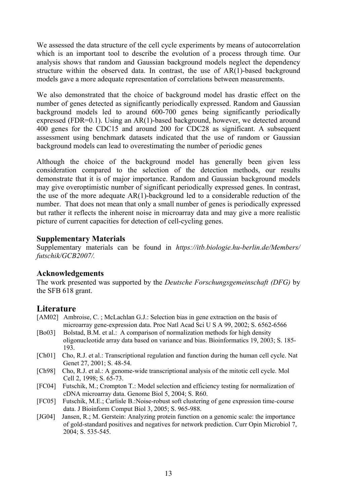We assessed the data structure of the cell cycle experiments by means of autocorrelation which is an important tool to describe the evolution of a process through time. Our analysis shows that random and Gaussian background models neglect the dependency structure within the observed data. In contrast, the use of AR(1)-based background models gave a more adequate representation of correlations between measurements.

We also demonstrated that the choice of background model has drastic effect on the number of genes detected as significantly periodically expressed. Random and Gaussian background models led to around 600-700 genes being significantly periodically expressed (FDR=0.1). Using an AR(1)-based background, however, we detected around 400 genes for the CDC15 and around 200 for CDC28 as significant. A subsequent assessment using benchmark datasets indicated that the use of random or Gaussian background models can lead to overestimating the number of periodic genes

Although the choice of the background model has generally been given less consideration compared to the selection of the detection methods, our results demonstrate that it is of major importance. Random and Gaussian background models may give overoptimistic number of significant periodically expressed genes. In contrast, the use of the more adequate AR(1)-background led to a considerable reduction of the number. That does not mean that only a small number of genes is periodically expressed but rather it reflects the inherent noise in microarray data and may give a more realistic picture of current capacities for detection of cell-cycling genes.

### **Supplementary Materials**

Supplementary materials can be found in *https://itb.biologie.hu-berlin.de/Members/* futschik/GCB2007/.

### **Acknowledgements**

The work presented was supported by the *Deutsche Forschungsgemeinschaft (DFG)* by the SFB 618 grant.

# **Literature**

- [AM02] Ambroise, C. ; McLachlan G.J.: Selection bias in gene extraction on the basis of microarray gene-expression data. Proc Natl Acad SciUS A 99, 2002; S. 6562-6566
- [Bo03] Bolstad, B.M. et al.: A comparison of normalization methods for high density oligonucleotide array data based on variance and bias. Bioinformatics 19, 2003; S. 185- 193.
- [Ch01] Cho, R.J. et al.: Transcriptional regulation and function during the human cell cycle. Nat Genet 27, 2001; S. 48-54.
- [Ch98] Cho, R.J. et al.: A genome-wide transcriptional analysis of the mitotic cell cycle. Mol Cell 2, 1998; S. 65-73.
- [FC04] Futschik, M.; Crompton T.: Model selection and efficiency testing for normalization of cDNA microarray data. Genome Biol 5, 2004; S. R60.
- [FC05] Futschik, M.E.; Carlisle B.:Noise-robust soft clustering of gene expression time-course data. J Bioinform Comput Biol 3, 2005; S. 965-988.
- [JG04] Jansen, R.; M. Gerstein: Analyzing protein function on a genomic scale: the importance of gold-standard positives and negatives for network prediction. Curr Opin Microbiol 7, 2004; S. 535-545.